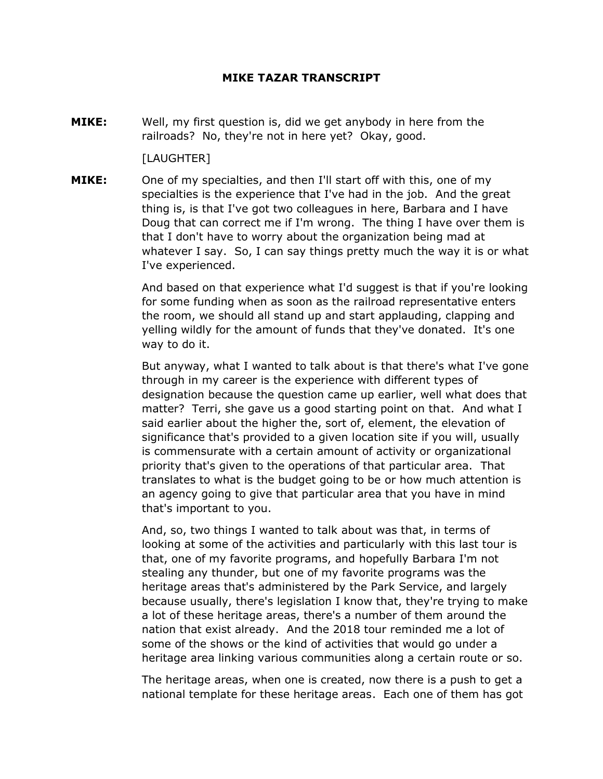## **MIKE TAZAR TRANSCRIPT**

**MIKE:** Well, my first question is, did we get anybody in here from the railroads? No, they're not in here yet? Okay, good.

[LAUGHTER]

**MIKE:** One of my specialties, and then I'll start off with this, one of my specialties is the experience that I've had in the job. And the great thing is, is that I've got two colleagues in here, Barbara and I have Doug that can correct me if I'm wrong. The thing I have over them is that I don't have to worry about the organization being mad at whatever I say. So, I can say things pretty much the way it is or what I've experienced.

> And based on that experience what I'd suggest is that if you're looking for some funding when as soon as the railroad representative enters the room, we should all stand up and start applauding, clapping and yelling wildly for the amount of funds that they've donated. It's one way to do it.

> But anyway, what I wanted to talk about is that there's what I've gone through in my career is the experience with different types of designation because the question came up earlier, well what does that matter? Terri, she gave us a good starting point on that. And what I said earlier about the higher the, sort of, element, the elevation of significance that's provided to a given location site if you will, usually is commensurate with a certain amount of activity or organizational priority that's given to the operations of that particular area. That translates to what is the budget going to be or how much attention is an agency going to give that particular area that you have in mind that's important to you.

> And, so, two things I wanted to talk about was that, in terms of looking at some of the activities and particularly with this last tour is that, one of my favorite programs, and hopefully Barbara I'm not stealing any thunder, but one of my favorite programs was the heritage areas that's administered by the Park Service, and largely because usually, there's legislation I know that, they're trying to make a lot of these heritage areas, there's a number of them around the nation that exist already. And the 2018 tour reminded me a lot of some of the shows or the kind of activities that would go under a heritage area linking various communities along a certain route or so.

> The heritage areas, when one is created, now there is a push to get a national template for these heritage areas. Each one of them has got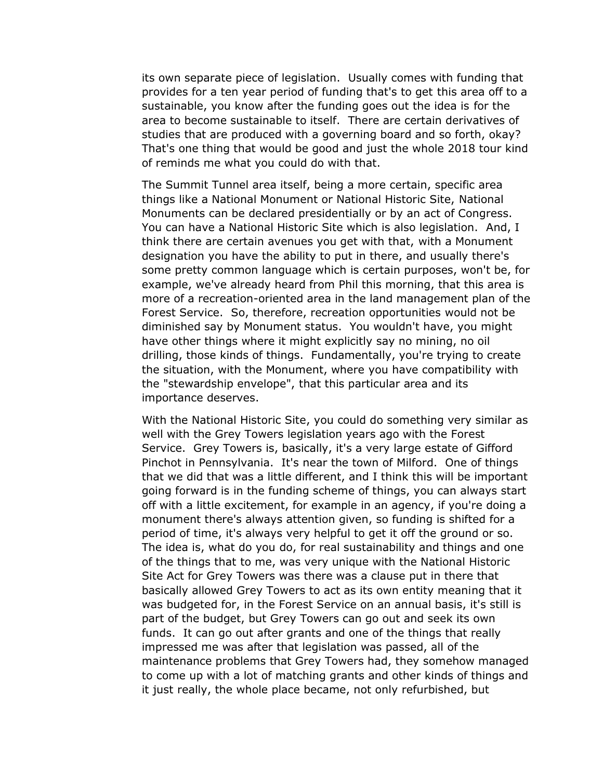its own separate piece of legislation. Usually comes with funding that provides for a ten year period of funding that's to get this area off to a sustainable, you know after the funding goes out the idea is for the area to become sustainable to itself. There are certain derivatives of studies that are produced with a governing board and so forth, okay? That's one thing that would be good and just the whole 2018 tour kind of reminds me what you could do with that.

The Summit Tunnel area itself, being a more certain, specific area things like a National Monument or National Historic Site, National Monuments can be declared presidentially or by an act of Congress. You can have a National Historic Site which is also legislation. And, I think there are certain avenues you get with that, with a Monument designation you have the ability to put in there, and usually there's some pretty common language which is certain purposes, won't be, for example, we've already heard from Phil this morning, that this area is more of a recreation-oriented area in the land management plan of the Forest Service. So, therefore, recreation opportunities would not be diminished say by Monument status. You wouldn't have, you might have other things where it might explicitly say no mining, no oil drilling, those kinds of things. Fundamentally, you're trying to create the situation, with the Monument, where you have compatibility with the "stewardship envelope", that this particular area and its importance deserves.

With the National Historic Site, you could do something very similar as well with the Grey Towers legislation years ago with the Forest Service. Grey Towers is, basically, it's a very large estate of Gifford Pinchot in Pennsylvania. It's near the town of Milford. One of things that we did that was a little different, and I think this will be important going forward is in the funding scheme of things, you can always start off with a little excitement, for example in an agency, if you're doing a monument there's always attention given, so funding is shifted for a period of time, it's always very helpful to get it off the ground or so. The idea is, what do you do, for real sustainability and things and one of the things that to me, was very unique with the National Historic Site Act for Grey Towers was there was a clause put in there that basically allowed Grey Towers to act as its own entity meaning that it was budgeted for, in the Forest Service on an annual basis, it's still is part of the budget, but Grey Towers can go out and seek its own funds. It can go out after grants and one of the things that really impressed me was after that legislation was passed, all of the maintenance problems that Grey Towers had, they somehow managed to come up with a lot of matching grants and other kinds of things and it just really, the whole place became, not only refurbished, but